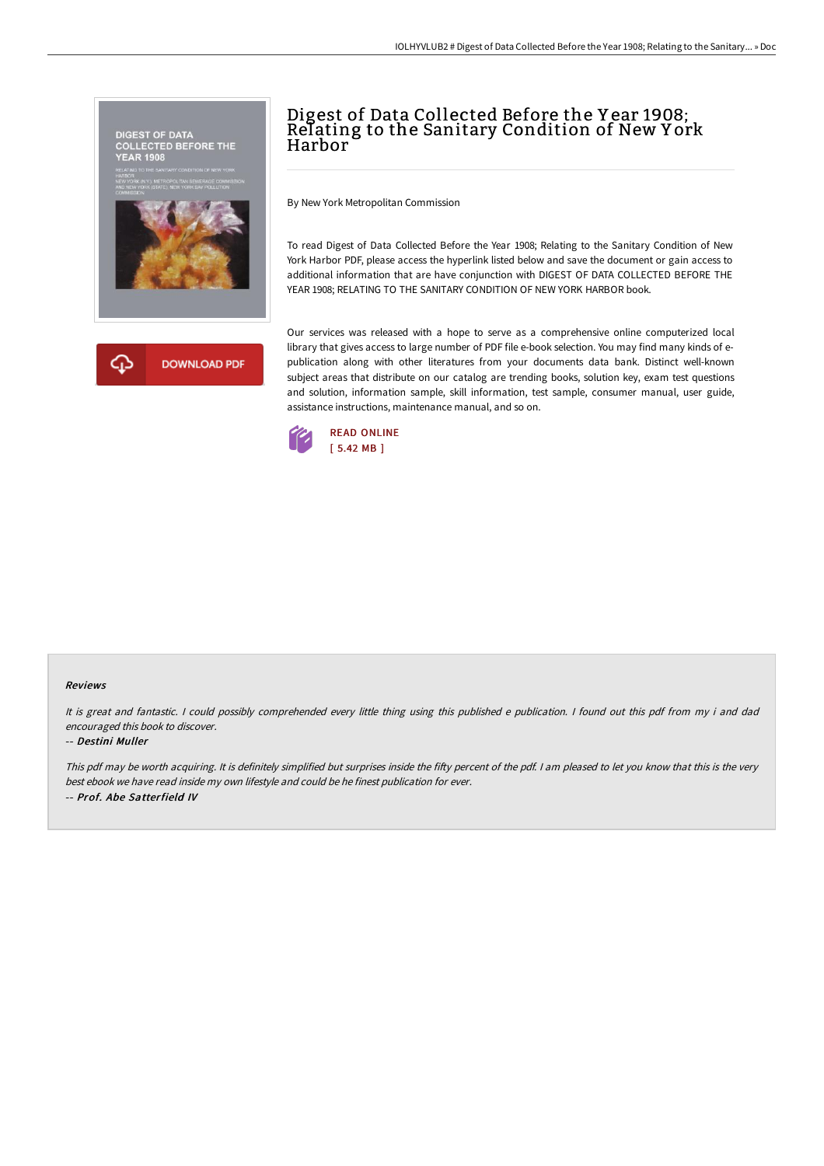



# Digest of Data Collected Before the Y ear 1908; Relating to the Sanitary Condition of New Y ork Harbor

By New York Metropolitan Commission

To read Digest of Data Collected Before the Year 1908; Relating to the Sanitary Condition of New York Harbor PDF, please access the hyperlink listed below and save the document or gain access to additional information that are have conjunction with DIGEST OF DATA COLLECTED BEFORE THE YEAR 1908; RELATING TO THE SANITARY CONDITION OF NEW YORK HARBOR book.

Our services was released with a hope to serve as a comprehensive online computerized local library that gives access to large number of PDF file e-book selection. You may find many kinds of epublication along with other literatures from your documents data bank. Distinct well-known subject areas that distribute on our catalog are trending books, solution key, exam test questions and solution, information sample, skill information, test sample, consumer manual, user guide, assistance instructions, maintenance manual, and so on.



#### Reviews

It is great and fantastic. <sup>I</sup> could possibly comprehended every little thing using this published <sup>e</sup> publication. <sup>I</sup> found out this pdf from my i and dad encouraged this book to discover.

#### -- Destini Muller

This pdf may be worth acquiring. It is definitely simplified but surprises inside the fifty percent of the pdf. I am pleased to let you know that this is the very best ebook we have read inside my own lifestyle and could be he finest publication for ever. -- Prof. Abe Satterfield IV